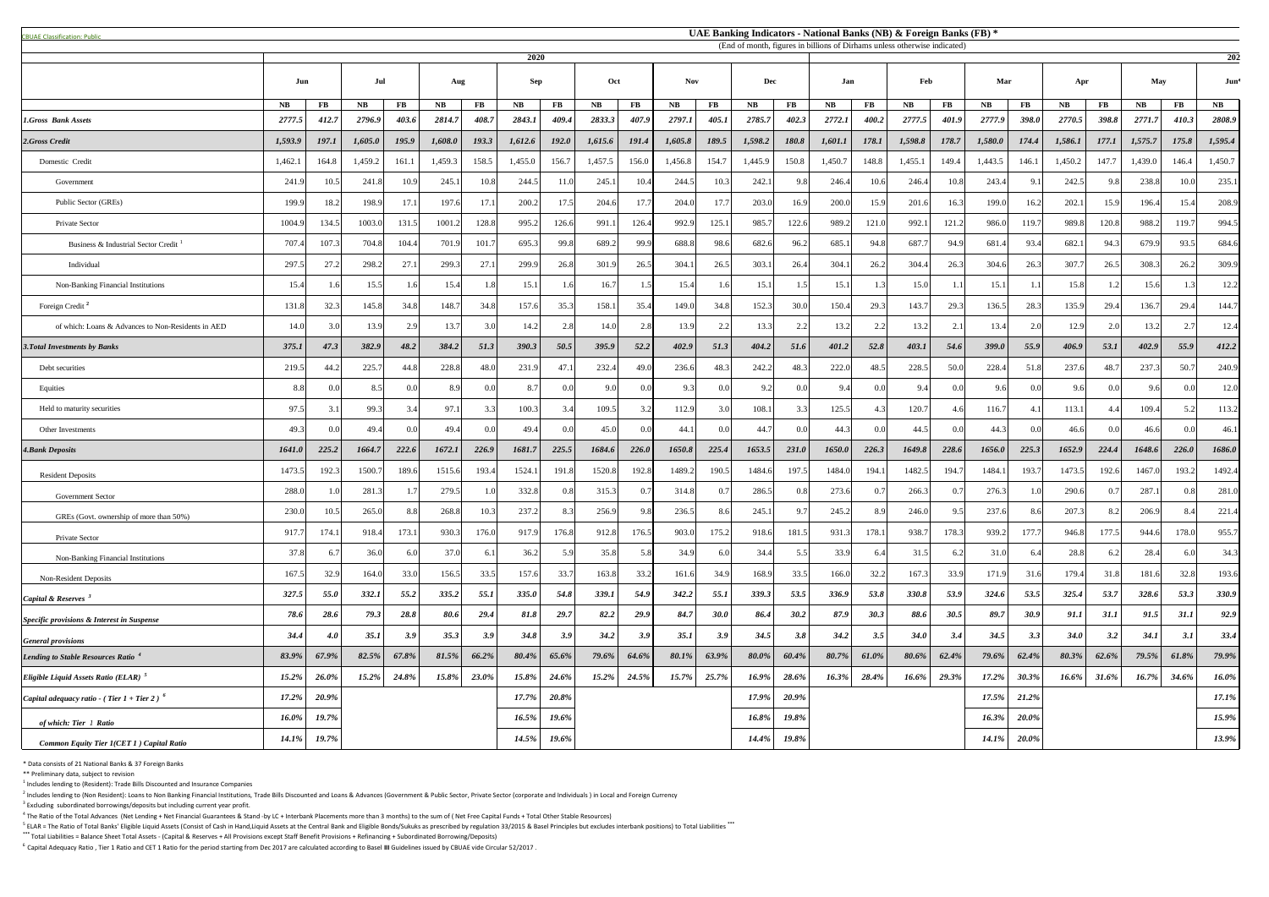<sup>5</sup> ELAR = The Ratio of Total Banks' Eligible Liquid Assets (Consist of Cash in Hand,Liquid Assets at the Central Bank and Eligible Bonds/Sukuks as prescribed by regulation 33/2015 & Basel Principles but excludes interbank **\*\*\*** Total Liabilities = Balance Sheet Total Assets - (Capital & Reserves + All Provisions except Staff Benefit Provisions + Refinancing + Subordinated Borrowing/Deposits)

| <b>CBUAE Classification: Public</b>                |               |                |               |           |            |       |         |              |            |              |           |             |         |          |         |          | UAE Banking Indicators - National Banks (NB) & Foreign Banks (FB) *<br>(End of month, figures in billions of Dirhams unless otherwise indicated) |          |           |              |             |                  |         |              |         |
|----------------------------------------------------|---------------|----------------|---------------|-----------|------------|-------|---------|--------------|------------|--------------|-----------|-------------|---------|----------|---------|----------|--------------------------------------------------------------------------------------------------------------------------------------------------|----------|-----------|--------------|-------------|------------------|---------|--------------|---------|
|                                                    |               |                |               |           |            |       | 2020    |              |            |              |           |             |         |          |         |          |                                                                                                                                                  |          |           |              |             |                  |         |              | 202     |
|                                                    | Jul<br>Jun    |                | Aug           |           | <b>Sep</b> |       | Oct     |              | <b>Nov</b> |              | Dec       |             | Jan     |          | Feb     |          | Mar                                                                                                                                              |          | Apr       |              | May         |                  | Jun     |              |         |
|                                                    | $N\mathbf{B}$ | FB             | $N\mathbf{B}$ | <b>FB</b> | <b>NB</b>  | FB    | NB      | <b>FB</b>    | NB         | $\bf FB$     | <b>NB</b> | $\bf FB$    | NB      | $\bf FB$ | NB      | $\bf FB$ | <b>NB</b>                                                                                                                                        | $\bf FB$ | <b>NB</b> | FB           | <b>NB</b>   | $\bf FB$         | NB      | FB           | NB      |
| <b>1.Gross Bank Assets</b>                         | 2777.5        | 412.7          | 2796.9        | 403.6     | 2814.7     | 408.7 | 2843.1  | 409.4        | 2833.3     | 407.9        | 2797.1    | 405.1       | 2785.7  | 402.3    | 2772.1  | 400.2    | 2777.5                                                                                                                                           | 401.9    | 2777.9    | <b>398.0</b> | 2770.5      | 398.8            | 2771.7  | 410.3        | 2808.9  |
| 2.Gross Credit                                     | 1,593.9       | 197.1          | 1,605.0       | 195.9     | 1,608.0    | 193.3 | 1,612.6 | <b>192.0</b> | 1,615.6    | 191.4        | 1,605.8   | 189.5       | 1,598.2 | 180.8    | 1,601.1 | 178.1    | 1,598.8                                                                                                                                          | 178.7    | 1,580.0   | 174.4        | 1,586.1     | 177.1            | 1,575.7 | 175.8        | 1,595.4 |
| Domestic Credit                                    | 1,462.        | 164.8          | 1,459.2       | 161.1     | 1,459.3    | 158.5 | 1,455.0 | 156.7        | 1,457.5    | 156.0        | 1,456.8   | 154.7       | 1,445.9 | 150.8    | 1,450.7 | 148.8    | 1,455.1                                                                                                                                          | 149.4    | 1,443.5   | 146.1        | 1,450.2     | 147.7            | 1,439.0 | 146.4        | 1,450.7 |
| Government                                         | 241.9         | 10.5           | 241.8         | 10.9      | 245.1      | 10.8  | 244.5   | 11.0         | 245.1      | 10.4         | 244.5     | 10.3        | 242.1   | 9.8      | 246.4   | 10.6     | 246.4                                                                                                                                            | 10.8     | 243.4     | 9.1          | 242.5       | 9.8              | 238.8   | 10.0         | 235.1   |
| Public Sector (GREs)                               | 199.9         | 18.2           | 198.9         | 17.       | 197.6      | 17.1  | 200.2   | 17.5         | 204.6      | 17.7         | 204.0     |             | 203.0   | 16.9     | 200.0   | 15.9     | 201.6                                                                                                                                            | 16.3     | 199.0     | 16.2         | 202.1       | 15.9             | 196.4   | 15.4         | 208.9   |
| Private Sector                                     | 1004.9        | 134.5          | 1003.0        | 131.5     | 1001.2     | 128.8 | 995.2   | 126.6        | 991.1      | 126.4        | 992.9     | 125.1       | 985.7   | 122.6    | 989.2   | 121.0    | 992.                                                                                                                                             | 121.2    | 986.0     | 119.7        | 989.8       | 120.8            | 988.2   | 119.7        | 994.5   |
| Business & Industrial Sector Credit                | 707.4         | 107.3          | 704.8         | 104.4     | 701.9      | 101.7 | 695.3   | 99.8         | 689.2      | 99.9         | 688.8     | 98.6        | 682.6   | 96.2     | 685.    | 94.8     | 687.                                                                                                                                             | 94.9     | 681.      | 93.4         | 682.1       | 94.3             | 679.9   | 93.5         | 684.6   |
| Individual                                         | 297.5         | 27.2           | 298.2         | 27.       | 299.3      | 27.1  | 299.9   | 26.8         | 301.9      | 26.5         | 304.1     | 26.5        | 303.1   | 26.4     | 304.    | 26.2     | 304.4                                                                                                                                            | 26.3     | 304.6     | 26.3         | 307.7       | 26.5             | 308.3   | 26.2         | 309.9   |
| Non-Banking Financial Institutions                 | 15.4          |                | 15.5          |           | 15.4       | 1.8   | 15.1    |              | 16.7       |              | 15.4      |             | 15.1    |          | 15.     |          | 15.0                                                                                                                                             |          | 15.1      |              | 15.8        |                  | 15.6    |              | 12.2    |
| Foreign Credit <sup>2</sup>                        | 131.8         | 32.3           | 145.8         | 34.8      | 148.7      | 34.8  | 157.6   | 35.3         | 158.1      | 35.4         | 149.0     | 34.8        | 152.3   | 30.0     | 150.4   | 29.3     | 143.7                                                                                                                                            | 29.3     | 136.5     | 28.3         | 135.9       | 29.4             | 136.7   | 29.4         | 144.7   |
| of which: Loans & Advances to Non-Residents in AED | 14.0          | 30             | 13.9          |           | 13.7       | 3.0   | 14.2    | 2.8          | 14.0       | 2.8          | 13.9      |             | 13.3    | 2.2      | 13.2    | 2.2      | 13.2                                                                                                                                             | 2.1      | 13.4      |              | 12.9        |                  | 13.2    |              | 12.4    |
| <b>3. Total Investments by Banks</b>               | 375.1         | 47.3           | 382.9         | 48.2      | 384.2      | 51.3  | 390.3   | 50.5         | 395.9      | 52.2         | 402.9     | 51.3        | 404.2   | 51.6     | 401.2   | 52.8     | 403.1                                                                                                                                            | 54.6     | 399.0     | 55.9         | 406.9       | 53.1             | 402.9   | 55.9         | 412.2   |
| Debt securities                                    | 219.5         | 44.2           | 225.7         | 44.8      | 228.8      | 48.0  | 231.9   | 47.1         | 232.4      | 49.0         | 236.6     | 48.3        | 242.2   | 48.3     | 222.0   | 48.5     | 228.5                                                                                                                                            | 50.0     | 228.4     | 51.8         | 237.6       | 48.              | 237.3   | 50.7         | 240.9   |
| Equities                                           | 8.8           | 0 <sub>0</sub> | 8.5           |           | 8.9        | 0.0   | 8.7     |              | 9.0        | 0.0          | 9.3       |             | 92      | 0.0      | 9.4     | 0.0      | 9.4                                                                                                                                              | 0(       | 9.6       |              | 9.6         | $\Omega$         | 9.6     | 0.01         | 12.0    |
| Held to maturity securities                        | 97.5          |                | 99.3          |           | 97.1       | 3.3   | 100.3   | 3.4          | 109.5      | 3.2          | 112.9     | 3 Q         | 108.    | 3.3      | 125.5   | 4.3      | 120.7                                                                                                                                            | -4.6     | 116.      |              | 113.1       |                  | 109.4   | 5.2          | 113.2   |
| Other Investments                                  | 49.3          | 00             | 49.4          |           | 49.4       | 0.0   | 49.4    |              | 45.0       | 0.0          | 44.1      |             | 44.7    | 0.0      | 44.3    | 0.0      | 44.5                                                                                                                                             | 0.0      | 44.3      |              | 46.6        | $\Omega$         | 46.6    | 0.0          | 46.1    |
| <b>4. Bank Deposits</b>                            | 1641.0        | 225.2          | 1664.7        | 222.6     | 1672.1     | 226.9 | 1681.7  | 225.5        | 1684.6     | <b>226.0</b> | 1650.8    | 225.4       | 1653.5  | 231.0    | 1650.0  | 226.3    | 1649.8                                                                                                                                           | 228.6    | 1656.0    | 225.3        | 1652.9      | 224.4            | 1648.6  | <b>226.0</b> | 1686.0  |
| <b>Resident Deposits</b>                           | 1473.5        | 192.3          | 1500.7        | 189.6     | 1515.6     | 193.4 | 1524.1  | 191.8        | 1520.8     | 192.8        | 1489.2    | 190.5       | 1484.6  | 197.5    | 1484.0  | 194.1    | 1482.5                                                                                                                                           | 194.7    | 1484.     | 193.7        | 1473.5      | 192.6            | 1467.0  | 193.2        | 1492.4  |
| <b>Government Sector</b>                           | 288.0         |                | 281.          |           | 279.5      | 1.0   | 332.8   | 0.8          | 315.3      | 0.7          | 314.8     |             | 286.5   | 0.8      | 273.6   | 0.7      | 266.3                                                                                                                                            | 0.7      | 276.3     |              | 290.6       | $\overline{0}$ . | 287.1   | 0.81         | 281.    |
| GREs (Govt. ownership of more than 50%)            | 230.0         | 10.5           | 265.0         | 8.8       | 268.8      | 10.3  | 237.2   | 8.3          | 256.9      | 9.8          | 236.5     | 8.6         | 245.    | 9.7      | 245.2   | 8.9      | 246.0                                                                                                                                            | 9.5      | 237.6     | 8.6          | 207.3       | 8.2              | 206.9   | 8.4          | 221.4   |
| Private Sector                                     | 917.7         | 174.1          | 918.4         | 173.      | 930.3      | 176.0 | 917.9   | 176.8        | 912.8      | 176.5        | 903.0     | 175.2       | 918.6   | 181.5    | 931.3   | 178.1    | 938.7                                                                                                                                            | 178.3    | 939.2     | 177.7        | 946.8       | 177.5            | 944.6   | 178.0        | 955.7   |
| Non-Banking Financial Institutions                 | 37.8          | 6.             | 36.0          |           | 37.0       | 6.1   | 36.2    | 5.9          | 35.8       | 5.8          | 34.9      | 6.01        | 34.4    | 5.5      | 33.9    | 6.4      | 31.5                                                                                                                                             | 6.2      | 31.0      |              | 28.8        | 6.2              | 28.4    | 6.0          | 34.3    |
| <b>Non-Resident Deposits</b>                       | 167.5         | 32.9           | 164.0         | 33.0      | 156.5      | 33.5  | 157.6   | 33.7         | 163.8      | 33.2         | 161.6     | 34.9        | 168.9   | 33.5     | 166.0   | 32.2     | 167.3                                                                                                                                            | 33.9     | 171.9     | 31.6         | 179.4       | 31.8             | 181.6   | 32.8         | 193.    |
| Capital & Reserves                                 | 327.5         | 55.0           | 332.1         | 55.2      | 335.2      | 55.1  | 335.0   | 54.8         | 339.1      | 54.9         | 342.2     | 55.1        | 339.3   | 53.5     | 336.9   | 53.8     | 330.8                                                                                                                                            | 53.9     | 324.6     | 53.5         | 325.4       | 53.7             | 328.6   | 53.3         | 330.9   |
| Specific provisions & Interest in Suspense         | 78.6          | 28.6           | 79.3          | 28.8      | 80.6       | 29.4  | 81.8    | 29.7         | 82.2       | 29.9         | 84.7      | <b>30.0</b> | 86.4    | 30.2     | 87.9    | 30.3     | 88.6                                                                                                                                             | 30.5     | 89.7      | 30.9         | 91.1        | 31.1             | 91.5    | 31.1         | 92.9    |
| <b>General provisions</b>                          | 34.4          | 4.0            | 35.1          | 3.9       | 35.3       | 3.9   | 34.8    | 3.9          | 34.2       | 3.9          | 35.1      | 3.9         | 34.5    | 3.8      | 34.2    | 3.5      | <b>34.0</b>                                                                                                                                      | 3.4      | 34.5      | 3.3          | <b>34.0</b> | 3.2              | 34.1    | 3.1          | 33.4    |
| Lending to Stable Resources Ratio <sup>4</sup>     | 83.9%         | 67.9%          | 82.5%         | 67.8%     | 81.5%      | 66.2% | 80.4%   | 65.6%        | 79.6%      | 64.6%        | 80.1%     | 63.9%       | 80.0%   | 60.4%    | 80.7%   | 61.0%    | 80.6%                                                                                                                                            | 62.4%    | 79.6%     | 62.4%        | 80.3%       | 62.6%            | 79.5%   | 61.8%        | 79.9%   |
| <i>Eligible Liquid Assets Ratio (ELAR)</i> $5$     | 15.2%         | 26.0%          | 15.2%         | 24.8%     | 15.8%      | 23.0% | 15.8%   | 24.6%        | 15.2%      | 24.5%        | 15.7%     | 25.7%       | 16.9%   | 28.6%    | 16.3%   | 28.4%    | 16.6%                                                                                                                                            | 29.3%    | 17.2%     | 30.3%        | 16.6%       | 31.6%            | 16.7%   | 34.6%        | 16.0%   |
| Capital adequacy ratio - (Tier 1 + Tier 2) $^6$    | 17.2%         | $20.9\%$       |               |           |            |       | 17.7%   | 20.8%        |            |              |           |             | 17.9%   | 20.9%    |         |          |                                                                                                                                                  |          | 17.5%     | 21.2%        |             |                  |         |              | 17.1%   |
| of which: Tier 1 Ratio                             | 16.0%         | 19.7%          |               |           |            |       | 16.5%   | 19.6%        |            |              |           |             | 16.8%   | 19.8%    |         |          |                                                                                                                                                  |          | 16.3%     | $20.0\%$     |             |                  |         |              | 15.9%   |
| <b>Common Equity Tier 1(CET 1) Capital Ratio</b>   | 14.1%         | 19.7%          |               |           |            |       | 14.5%   | 19.6%        |            |              |           |             | 14.4%   | 19.8%    |         |          |                                                                                                                                                  |          | 14.1%     | $20.0\%$     |             |                  |         |              | 13.9%   |

\* Data consists of 21 National Banks & 37 Foreign Banks

\*\* Preliminary data, subject to revision

 $<sup>1</sup>$  Includes lending to (Resident): Trade Bills Discounted and Insurance Companies</sup>

 $^2$  Includes lending to (Non Resident): Loans to Non Banking Financial Institutions, Trade Bills Discounted and Loans & Advances (Government & Public Sector, Private Sector (corporate and Individuals) in Local and Foreig

 $3$  Excluding subordinated borrowings/deposits but including current year profit.

 $^4$  The Ratio of the Total Advances (Net Lending + Net Financial Guarantees & Stand -by LC + Interbank Placements more than 3 months) to the sum of (Net Free Capital Funds + Total Other Stable Resources)

<sup>6</sup>Capital Adequacy Ratio , Tier 1 Ratio and CET 1 Ratio for the period starting from Dec 2017 are calculated according to Basel **III** Guidelines issued by CBUAE vide Circular 52/2017 .